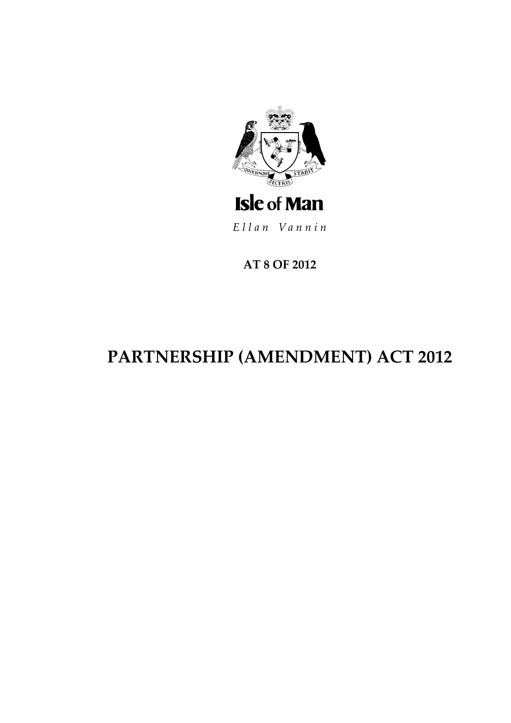

Ellan Vannin

AT 8 OF 2012

# PARTNERSHIP (AMENDMENT) ACT 2012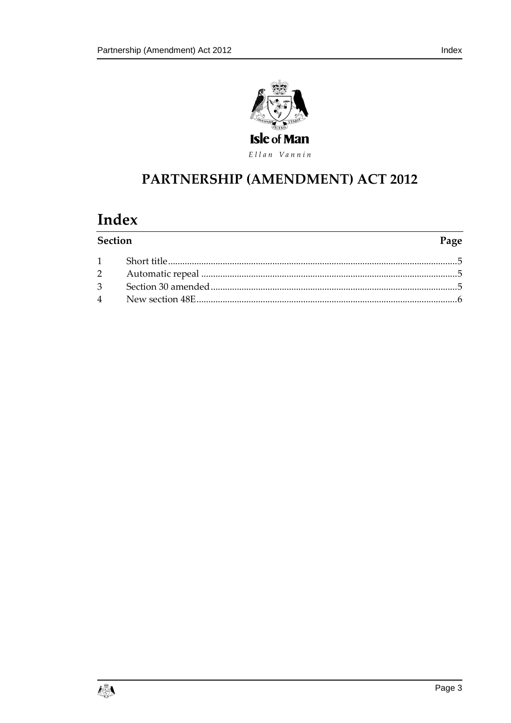

Ellan Vannin

## PARTNERSHIP (AMENDMENT) ACT 2012

### Index

| <b>Section</b> | Page |
|----------------|------|
|                |      |
|                |      |
|                |      |
|                |      |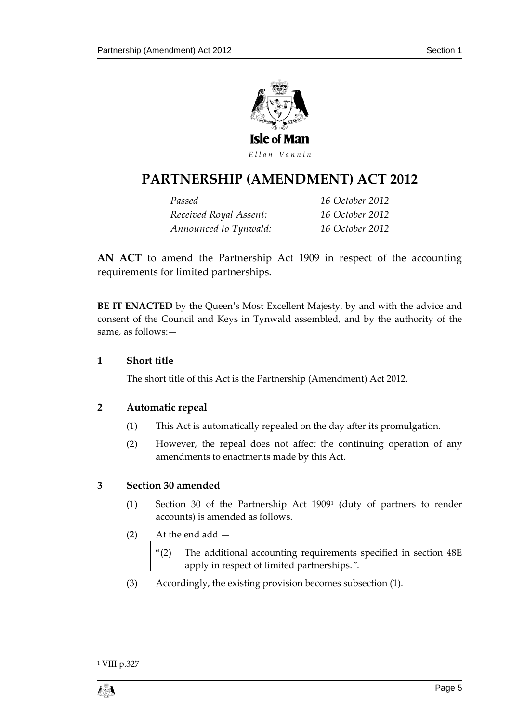

### **PARTNERSHIP (AMENDME NT) ACT 2012**

*Passed 16 October 2012 Received Royal Assent: 16 October 2012 Announced to Tynwald: 16 October 2012*

**AN ACT** to amend the Partnership Act 1909 in respect of the accounting requirements for limited partnerships.

**BE IT ENACTED** by the Queen's Most Excellent Majesty, by and with the advice and consent of the Council and Keys in Tynwald assembled, and by the authority of the same, as follows:—

#### <span id="page-4-0"></span>**1 Short title**

The short title of this Act is the Partnership (Amendment) Act 2012.

#### <span id="page-4-1"></span>**2 Automatic repeal**

- (1) This Act is automatically repealed on the day after its promulgation.
- (2) However, the repeal does not affect the continuing operation of any amendments to enactments made by this Act.

#### <span id="page-4-2"></span>**3 Section 30 amended**

- (1) Section 30 of the Partnership Act 1909<sup>1</sup> (duty of partners to render accounts) is amended as follows.
- (2) At the end add
	- "(2) The additional accounting requirements specified in section 48E apply in respect of limited partnerships.".
- (3) Accordingly, the existing provision becomes subsection (1).

<sup>1</sup> <sup>1</sup> VIII p.327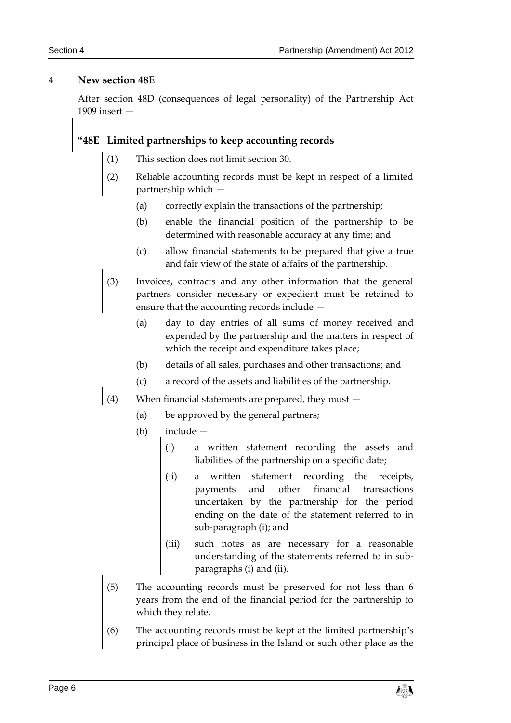#### <span id="page-5-0"></span>**4 New section 48E**

After section 48D (consequences of legal personality) of the Partnership Act 1909 insert —

### **"48E Limited partnerships to keep accounting records**

- (1) This section does not limit section 30.
- (2) Reliable accounting records must be kept in respect of a limited partnership which —
	- (a) correctly explain the transactions of the partnership;
	- (b) enable the financial position of the partnership to be determined with reasonable accuracy at any time; and
	- (c) allow financial statements to be prepared that give a true and fair view of the state of affairs of the partnership.
- (3) Invoices, contracts and any other information that the general partners consider necessary or expedient must be retained to ensure that the accounting records include —
	- (a) day to day entries of all sums of money received and expended by the partnership and the matters in respect of which the receipt and expenditure takes place;
	- (b) details of all sales, purchases and other transactions; and
	- (c) a record of the assets and liabilities of the partnership.
- (4) When financial statements are prepared, they must  $-$ 
	- (a) be approved by the general partners;
	- (b) include
		- (i) a written statement recording the assets and liabilities of the partnership on a specific date;
		- (ii) a written statement recording the receipts, payments and other financial transactions undertaken by the partnership for the period ending on the date of the statement referred to in sub-paragraph (i); and
		- (iii) such notes as are necessary for a reasonable understanding of the statements referred to in subparagraphs (i) and (ii).
	- (5) The accounting records must be preserved for not less than 6 years from the end of the financial period for the partnership to which they relate.
	- (6) The accounting records must be kept at the limited partnership's principal place of business in the Island or such other place as the